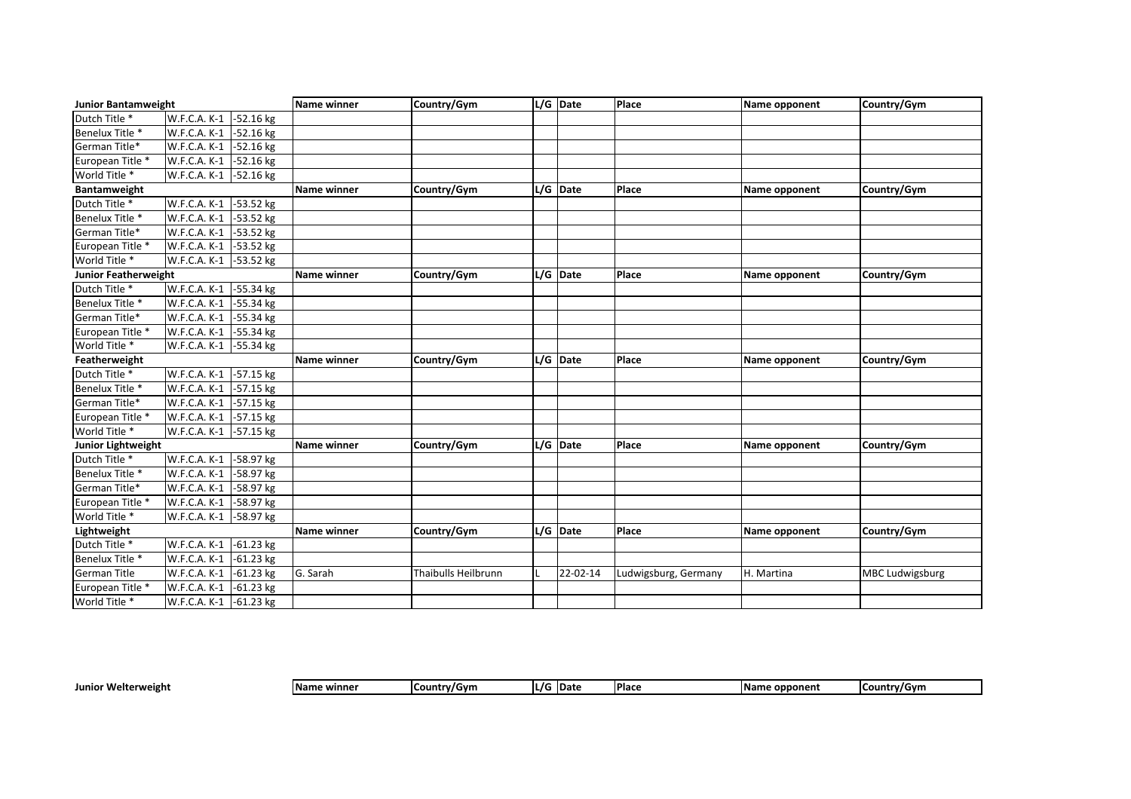| <b>Junior Bantamweight</b> |                             | Name winner | Country/Gym         | L/G Date   | Place                | Name opponent | Country/Gym            |
|----------------------------|-----------------------------|-------------|---------------------|------------|----------------------|---------------|------------------------|
| Dutch Title *              | -52.16 kg<br>W.F.C.A. K-1   |             |                     |            |                      |               |                        |
| Benelux Title *            | W.F.C.A. K-1<br>-52.16 kg   |             |                     |            |                      |               |                        |
| German Title*              | W.F.C.A. K-1<br>$-52.16$ kg |             |                     |            |                      |               |                        |
| European Title *           | W.F.C.A. K-1<br>-52.16 kg   |             |                     |            |                      |               |                        |
| World Title *              | W.F.C.A. K-1<br>$-52.16$ kg |             |                     |            |                      |               |                        |
| Bantamweight               |                             | Name winner | Country/Gym         | $L/G$ Date | Place                | Name opponent | Country/Gym            |
| Dutch Title *              | W.F.C.A. K-1<br>-53.52 kg   |             |                     |            |                      |               |                        |
| Benelux Title *            | W.F.C.A. K-1<br>-53.52 kg   |             |                     |            |                      |               |                        |
| German Title*              | -53.52 kg<br>W.F.C.A. K-1   |             |                     |            |                      |               |                        |
| European Title *           | W.F.C.A. K-1<br>-53.52 kg   |             |                     |            |                      |               |                        |
| World Title <sup>*</sup>   | -53.52 kg<br>W.F.C.A. K-1   |             |                     |            |                      |               |                        |
| Junior Featherweight       |                             | Name winner | Country/Gym         | $L/G$ Date | <b>Place</b>         | Name opponent | Country/Gym            |
| Dutch Title *              | W.F.C.A. K-1<br>-55.34 kg   |             |                     |            |                      |               |                        |
| Benelux Title *            | W.F.C.A. K-1<br>$-55.34$ kg |             |                     |            |                      |               |                        |
| German Title*              | W.F.C.A. K-1<br>-55.34 kg   |             |                     |            |                      |               |                        |
| European Title *           | W.F.C.A. K-1<br>-55.34 kg   |             |                     |            |                      |               |                        |
| World Title *              | -55.34 kg<br>W.F.C.A. K-1   |             |                     |            |                      |               |                        |
| Featherweight              |                             | Name winner | Country/Gym         | $L/G$ Date | Place                | Name opponent | Country/Gym            |
| Dutch Title *              | -57.15 kg<br>W.F.C.A. K-1   |             |                     |            |                      |               |                        |
| Benelux Title *            | W.F.C.A. K-1<br>-57.15 kg   |             |                     |            |                      |               |                        |
| German Title*              | W.F.C.A. K-1<br>-57.15 kg   |             |                     |            |                      |               |                        |
| European Title *           | W.F.C.A. K-1<br>-57.15 kg   |             |                     |            |                      |               |                        |
| World Title *              | W.F.C.A. K-1<br>$-57.15$ kg |             |                     |            |                      |               |                        |
| <b>Junior Lightweight</b>  |                             | Name winner | Country/Gym         | $L/G$ Date | <b>Place</b>         | Name opponent | Country/Gym            |
| Dutch Title *              | W.F.C.A. K-1<br>-58.97 kg   |             |                     |            |                      |               |                        |
| Benelux Title *            | W.F.C.A. K-1<br>-58.97 kg   |             |                     |            |                      |               |                        |
| German Title*              |                             |             |                     |            |                      |               |                        |
|                            | W.F.C.A. K-1<br>$-58.97$ kg |             |                     |            |                      |               |                        |
| European Title *           | W.F.C.A. K-1<br>$-58.97$ kg |             |                     |            |                      |               |                        |
| World Title <sup>*</sup>   | W.F.C.A. K-1<br>-58.97 kg   |             |                     |            |                      |               |                        |
| Lightweight                |                             | Name winner | Country/Gym         | $L/G$ Date | Place                | Name opponent | Country/Gym            |
| Dutch Title <sup>*</sup>   | $-61.23$ kg<br>W.F.C.A. K-1 |             |                     |            |                      |               |                        |
| Benelux Title *            | W.F.C.A. K-1<br>$-61.23$ kg |             |                     |            |                      |               |                        |
| <b>German Title</b>        | W.F.C.A. K-1<br>$-61.23$ kg | G. Sarah    | Thaibulls Heilbrunn | 22-02-14   | Ludwigsburg, Germany | H. Martina    | <b>MBC Ludwigsburg</b> |
| European Title *           | $-61.23$ kg<br>W.F.C.A. K-1 |             |                     |            |                      |               |                        |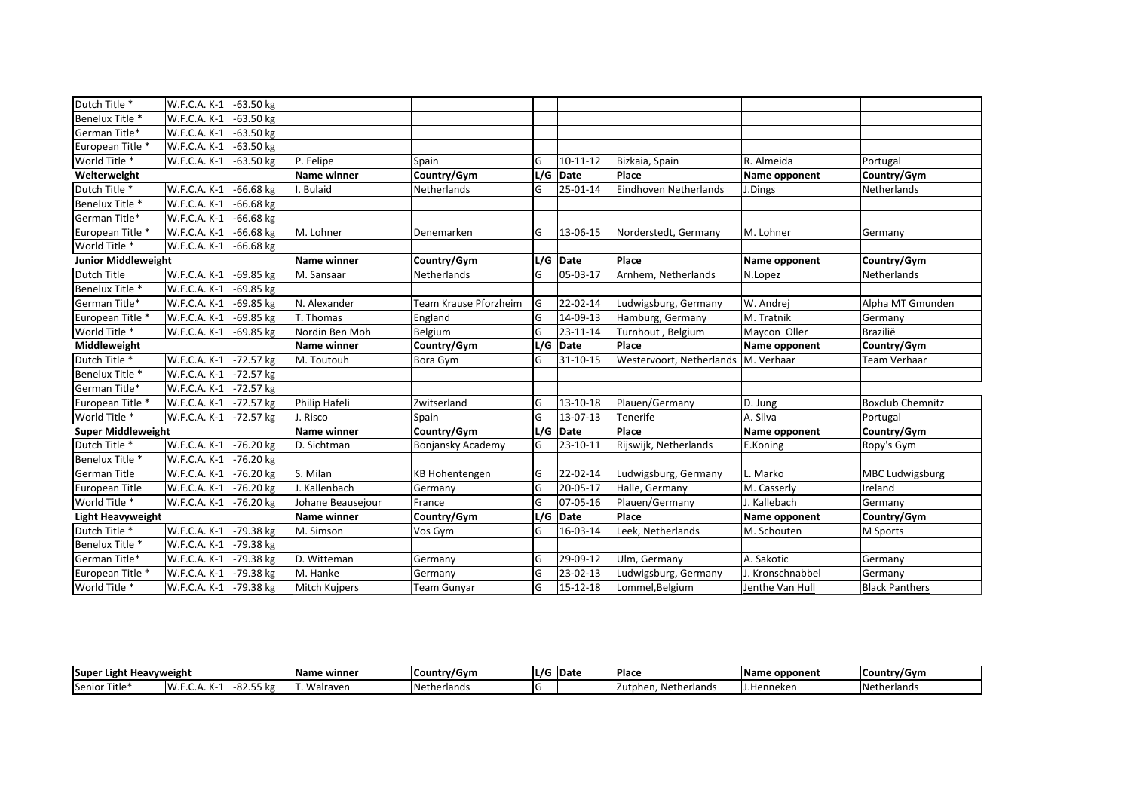| W.F.C.A. K-1 | $-63.50$ kg                                                                                         |                   |                       |                         |          |                                                                                          |                  |                         |
|--------------|-----------------------------------------------------------------------------------------------------|-------------------|-----------------------|-------------------------|----------|------------------------------------------------------------------------------------------|------------------|-------------------------|
| W.F.C.A. K-1 | $-63.50$ kg                                                                                         |                   |                       |                         |          |                                                                                          |                  |                         |
| W.F.C.A. K-1 | $-63.50$ kg                                                                                         |                   |                       |                         |          |                                                                                          |                  |                         |
| W.F.C.A. K-1 | $-63.50$ kg                                                                                         |                   |                       |                         |          |                                                                                          |                  |                         |
| W.F.C.A. K-1 | $-63.50$ kg                                                                                         | P. Felipe         | Spain                 | G                       | 10-11-12 | Bizkaia, Spain                                                                           | R. Almeida       | Portugal                |
|              |                                                                                                     | Name winner       | Country/Gym           |                         |          | Place                                                                                    | Name opponent    | Country/Gym             |
| W.F.C.A. K-1 | $-66.68$ kg                                                                                         | . Bulaid          | Netherlands           | G                       | 25-01-14 | Eindhoven Netherlands                                                                    | J.Dings          | Netherlands             |
| W.F.C.A. K-1 | $-66.68$ kg                                                                                         |                   |                       |                         |          |                                                                                          |                  |                         |
| W.F.C.A. K-1 | $-66.68$ kg                                                                                         |                   |                       |                         |          |                                                                                          |                  |                         |
| W.F.C.A. K-1 | $-66.68$ kg                                                                                         | M. Lohner         | Denemarken            | G                       | 13-06-15 | Norderstedt, Germany                                                                     | M. Lohner        | Germany                 |
| W.F.C.A. K-1 | $-66.68$ kg                                                                                         |                   |                       |                         |          |                                                                                          |                  |                         |
|              |                                                                                                     | Name winner       | Country/Gym           |                         |          | Place                                                                                    | Name opponent    | Country/Gym             |
| W.F.C.A. K-1 | -69.85 kg                                                                                           | M. Sansaar        | Netherlands           | G                       | 05-03-17 | Arnhem, Netherlands                                                                      | N.Lopez          | Netherlands             |
| W.F.C.A. K-1 | $-69.85$ kg                                                                                         |                   |                       |                         |          |                                                                                          |                  |                         |
| W.F.C.A. K-1 | -69.85 kg                                                                                           | N. Alexander      | Team Krause Pforzheim | lG.                     | 22-02-14 | Ludwigsburg, Germany                                                                     | W. Andrej        | Alpha MT Gmunden        |
| W.F.C.A. K-1 | -69.85 kg                                                                                           | T. Thomas         | England               | lG                      | 14-09-13 | Hamburg, Germany                                                                         | M. Tratnik       | Germany                 |
| W.F.C.A. K-1 | -69.85 kg                                                                                           | Nordin Ben Moh    | Belgium               | lG                      | 23-11-14 | Turnhout, Belgium                                                                        | Maycon Oller     | Brazilië                |
|              |                                                                                                     | Name winner       | Country/Gym           |                         |          | Place                                                                                    | Name opponent    | Country/Gym             |
| W.F.C.A. K-1 | -72.57 kg                                                                                           | M. Toutouh        | Bora Gym              | G                       | 31-10-15 | Westervoort, Netherlands                                                                 | M. Verhaar       | <b>Team Verhaar</b>     |
| W.F.C.A. K-1 | -72.57 kg                                                                                           |                   |                       |                         |          |                                                                                          |                  |                         |
| W.F.C.A. K-1 | -72.57 kg                                                                                           |                   |                       |                         |          |                                                                                          |                  |                         |
| W.F.C.A. K-1 | -72.57 kg                                                                                           | Philip Hafeli     | Zwitserland           | G                       | 13-10-18 | Plauen/Germany                                                                           | D. Jung          | <b>Boxclub Chemnitz</b> |
| W.F.C.A. K-1 | -72.57 kg                                                                                           | . Risco           | Spain                 | G                       | 13-07-13 | Tenerife                                                                                 | A. Silva         | Portugal                |
|              |                                                                                                     | Name winner       | Country/Gym           |                         |          | Place                                                                                    | Name opponent    | Country/Gym             |
| W.F.C.A. K-1 | -76.20 kg                                                                                           | D. Sichtman       | Bonjansky Academy     | G                       | 23-10-11 | Rijswijk, Netherlands                                                                    | E.Koning         | Ropy's Gym              |
| W.F.C.A. K-1 | -76.20 kg                                                                                           |                   |                       |                         |          |                                                                                          |                  |                         |
| W.F.C.A. K-1 | -76.20 kg                                                                                           | S. Milan          | <b>KB Hohentengen</b> | G                       | 22-02-14 | Ludwigsburg, Germany                                                                     | L. Marko         | <b>MBC Ludwigsburg</b>  |
| W.F.C.A. K-1 | -76.20 kg                                                                                           | J. Kallenbach     | Germany               | G                       | 20-05-17 | Halle, Germany                                                                           | M. Casserly      | Ireland                 |
| W.F.C.A. K-1 | -76.20 kg                                                                                           | Johane Beausejour | France                | $\overline{\mathsf{G}}$ | 07-05-16 | Plauen/Germany                                                                           | J. Kallebach     | Germany                 |
|              |                                                                                                     | Name winner       | Country/Gym           |                         |          | Place                                                                                    | Name opponent    | Country/Gym             |
| W.F.C.A. K-1 | -79.38 kg                                                                                           | M. Simson         | Vos Gym               | G                       | 16-03-14 | Leek, Netherlands                                                                        | M. Schouten      | M Sports                |
| W.F.C.A. K-1 | -79.38 kg                                                                                           |                   |                       |                         |          |                                                                                          |                  |                         |
| W.F.C.A. K-1 | -79.38 kg                                                                                           | D. Witteman       | Germany               | G                       | 29-09-12 | Ulm, Germany                                                                             | A. Sakotic       | Germany                 |
|              |                                                                                                     | M. Hanke          |                       |                         |          | Ludwigsburg, Germany                                                                     | J. Kronschnabbel | Germany                 |
|              |                                                                                                     |                   |                       |                         |          |                                                                                          |                  |                         |
|              | <b>Junior Middleweight</b><br><b>Super Middleweight</b><br><b>Light Heavyweight</b><br>W.F.C.A. K-1 |                   |                       |                         | Germany  | L/G Date<br>L/G Date<br>L/G Date<br>$L/G$ Date<br>L/G Date<br>G<br>23-02-13<br>-79.38 kg |                  |                         |

| . .<br><b>Supe</b><br><b>Heavyweight</b><br>Light |                                 |          | Name winner | Country/Gym         | IL/G | <b>Date</b> | <b>Place</b>              | : opponent<br>.vame | <b>Country/Gym</b> |
|---------------------------------------------------|---------------------------------|----------|-------------|---------------------|------|-------------|---------------------------|---------------------|--------------------|
| $- \cdot \cdot$<br>Title*<br><b>ISenior</b>       | IW.<br>$\overline{\phantom{a}}$ | 82.55 kg | Walraven    | <b>INetherlands</b> |      |             | . Netherlands<br>Zutphen. | tJ.Hr<br>'enneken   | Netherlands        |